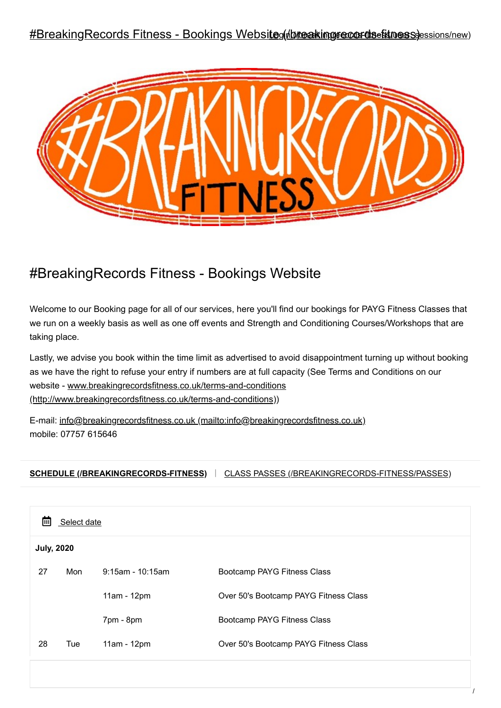### #BreakingRecords Fitness - Bookings Websiteg (*hbreaking recordsefitness)* essions/new)



# #BreakingRecords Fitness - Bookings Website

Welcome to our Booking page for all of our services, here you'll find our bookings for PAYG Fitness Classes that we run on a weekly basis as well as one off events and Strength and Conditioning Courses/Workshops that are taking place.

Lastly, we advise you book within the time limit as advertised to avoid disappointment turning up without booking as we have the right to refuse your entry if numbers are at full capacity (See Terms and Conditions on our [website - www.breakingrecordsfitness.co.uk/terms-and-conditions](http://www.breakingrecordsfitness.co.uk/terms-and-conditions) (http://www.breakingrecordsfitness.co.uk/terms-and-conditions))

E-mail: [info@breakingrecordsfitness.co.uk \(mailto:info@breakingrecordsfitness.co.uk\)](mailto:info@breakingrecordsfitness.co.uk) mobile: 07757 615646

**[SCHEDULE \(/BREAKINGRECORDS-FITNESS\)](https://bookwhen.com/breakingrecords-fitness)** [CLASS PASSES \(/BREAKINGRECORDS-FITNESS/PASSES\)](https://bookwhen.com/breakingrecords-fitness/passes) |

| Select date<br>圖  |     |                     |                                       |  |  |
|-------------------|-----|---------------------|---------------------------------------|--|--|
| <b>July, 2020</b> |     |                     |                                       |  |  |
| 27                | Mon | $9:15$ am - 10:15am | Bootcamp PAYG Fitness Class           |  |  |
|                   |     | 11am - 12pm         | Over 50's Bootcamp PAYG Fitness Class |  |  |
|                   |     | 7pm - 8pm           | Bootcamp PAYG Fitness Class           |  |  |
| 28                | Tue | 11am - 12pm         | Over 50's Bootcamp PAYG Fitness Class |  |  |
|                   |     |                     |                                       |  |  |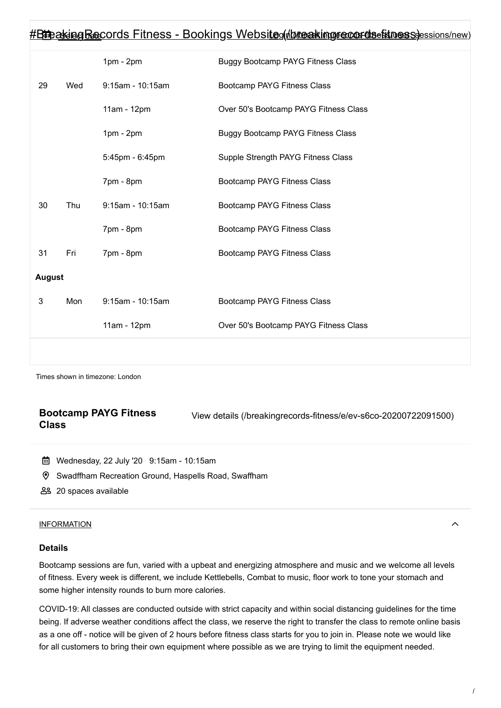|               | <u> #BineakingRecords Fitness - Bookings Websiteg(Abreakingrecordsefitnessessions/new)</u> |                  |                                          |  |  |
|---------------|--------------------------------------------------------------------------------------------|------------------|------------------------------------------|--|--|
|               |                                                                                            | $1pm - 2pm$      | <b>Buggy Bootcamp PAYG Fitness Class</b> |  |  |
| 29            | Wed                                                                                        | 9:15am - 10:15am | Bootcamp PAYG Fitness Class              |  |  |
|               |                                                                                            | 11am - 12pm      | Over 50's Bootcamp PAYG Fitness Class    |  |  |
|               |                                                                                            | $1pm - 2pm$      | <b>Buggy Bootcamp PAYG Fitness Class</b> |  |  |
|               |                                                                                            | 5:45pm - 6:45pm  | Supple Strength PAYG Fitness Class       |  |  |
|               |                                                                                            | 7pm - 8pm        | Bootcamp PAYG Fitness Class              |  |  |
| 30            | Thu                                                                                        | 9:15am - 10:15am | Bootcamp PAYG Fitness Class              |  |  |
|               |                                                                                            | 7pm - 8pm        | Bootcamp PAYG Fitness Class              |  |  |
| 31            | Fri                                                                                        | 7pm - 8pm        | Bootcamp PAYG Fitness Class              |  |  |
| <b>August</b> |                                                                                            |                  |                                          |  |  |
| 3             | Mon                                                                                        | 9:15am - 10:15am | Bootcamp PAYG Fitness Class              |  |  |
|               |                                                                                            | 11am - 12pm      | Over 50's Bootcamp PAYG Fitness Class    |  |  |
|               |                                                                                            |                  |                                          |  |  |

Times shown in timezone: London

### **Bootcamp PAYG Fitness Class**

[View details \(/breakingrecords-fitness/e/ev-s6co-20200722091500\)](https://bookwhen.com/breakingrecords-fitness/e/ev-s6co-20200722091500)

- Wednesday, 22 July '20 9:15am 10:15am
- Swadffham Recreation Ground, Haspells Road, Swaffham
- 20 spaces available

#### <span id="page-1-0"></span>[INFORMATION](#page-1-0)

#### **Details**

Bootcamp sessions are fun, varied with a upbeat and energizing atmosphere and music and we welcome all levels of fitness. Every week is different, we include Kettlebells, Combat to music, floor work to tone your stomach and some higher intensity rounds to burn more calories.

COVID-19: All classes are conducted outside with strict capacity and within social distancing guidelines for the time being. If adverse weather conditions affect the class, we reserve the right to transfer the class to remote online basis as a one off - notice will be given of 2 hours before fitness class starts for you to join in. Please note we would like for all customers to bring their own equipment where possible as we are trying to limit the equipment needed.

 $\lambda$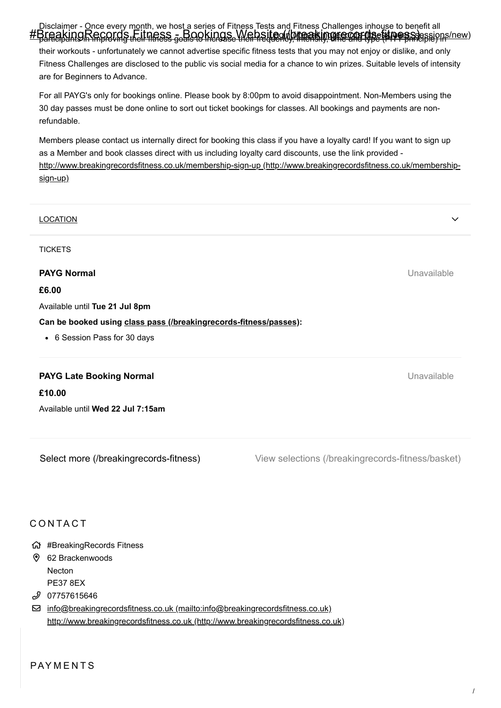[Disclaimer - Once every month, we host a series of Fitness Tests and Fitness Challenges inhouse to benefit](https://bookwhen.com/breakingrecords-fitness) all #BreakingRecords Filmess <sub>s</sub> Bookings Websited breakingrecords (to stape) here.

their workouts - unfortunately we cannot advertise specific fitness tests that you may not enjoy or dislike, and only Fitness Challenges are disclosed to the public vis social media for a chance to win prizes. Suitable levels of intensity are for Beginners to Advance.

For all PAYG's only for bookings online. Please book by 8:00pm to avoid disappointment. Non-Members using the 30 day passes must be done online to sort out ticket bookings for classes. All bookings and payments are nonrefundable.

Members please contact us internally direct for booking this class if you have a loyalty card! If you want to sign up as a Member and book classes direct with us including loyalty card discounts, use the link provided [http://www.breakingrecordsfitness.co.uk/membership-sign-up \(http://www.breakingrecordsfitness.co.uk/membership](http://www.breakingrecordsfitness.co.uk/membership-sign-up)sign-up)

| <b>LOCATION</b>                                                   | $\checkmark$ |  |  |  |  |
|-------------------------------------------------------------------|--------------|--|--|--|--|
| <b>TICKETS</b>                                                    |              |  |  |  |  |
| <b>PAYG Normal</b>                                                | Unavailable  |  |  |  |  |
| £6.00                                                             |              |  |  |  |  |
| Available until Tue 21 Jul 8pm                                    |              |  |  |  |  |
| Can be booked using class pass (/breakingrecords-fitness/passes): |              |  |  |  |  |
| • 6 Session Pass for 30 days                                      |              |  |  |  |  |
| <b>PAYG Late Booking Normal</b>                                   | Unavailable  |  |  |  |  |

[Select more \(/breakingrecords-fitness\)](https://bookwhen.com/breakingrecords-fitness)

Available until **Wed 22 Jul 7:15am**

[View selections \(/breakingrecords-fitness/basket\)](https://bookwhen.com/breakingrecords-fitness/basket)

## **CONTACT**

**£10.00**

- #BreakingRecords Fitness
- 62 Brackenwoods Necton PE37 8EX
- 07757615646 *ل*ى

 [info@breakingrecordsfitness.co.uk \(mailto:info@breakingrecordsfitness.co.uk\)](mailto:info@breakingrecordsfitness.co.uk) [http://www.breakingrecordsfitness.co.uk \(http://www.breakingrecordsfitness.co.uk\)](http://www.breakingrecordsfitness.co.uk/)